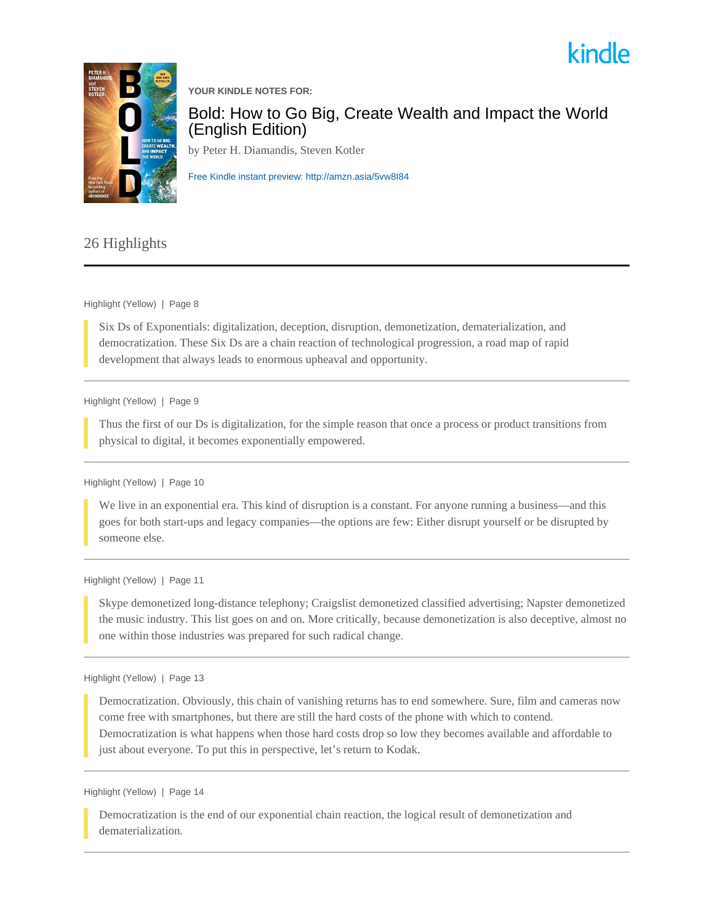



**YOUR KINDLE NOTES FOR:**

# Bold: How to Go Big, Create Wealth and Impact the World (English Edition)

by Peter H. Diamandis, Steven Kotler

[Free Kindle instant preview: http://amzn.asia/5vw8I84](http://amzn.asia/5vw8I84)

# 26 Highlights

# Highlight (Yellow) | Page 8

Six Ds of Exponentials: digitalization, deception, disruption, demonetization, dematerialization, and democratization. These Six Ds are a chain reaction of technological progression, a road map of rapid development that always leads to enormous upheaval and opportunity.

# Highlight (Yellow) | Page 9

Thus the first of our Ds is digitalization, for the simple reason that once a process or product transitions from physical to digital, it becomes exponentially empowered.

#### Highlight (Yellow) | Page 10

We live in an exponential era. This kind of disruption is a constant. For anyone running a business—and this goes for both start-ups and legacy companies—the options are few: Either disrupt yourself or be disrupted by someone else.

Highlight (Yellow) | Page 11

Skype demonetized long-distance telephony; Craigslist demonetized classified advertising; Napster demonetized the music industry. This list goes on and on. More critically, because demonetization is also deceptive, almost no one within those industries was prepared for such radical change.

### Highlight (Yellow) | Page 13

Democratization. Obviously, this chain of vanishing returns has to end somewhere. Sure, film and cameras now come free with smartphones, but there are still the hard costs of the phone with which to contend. Democratization is what happens when those hard costs drop so low they becomes available and affordable to just about everyone. To put this in perspective, let's return to Kodak.

### Highlight (Yellow) | Page 14

Democratization is the end of our exponential chain reaction, the logical result of demonetization and dematerialization.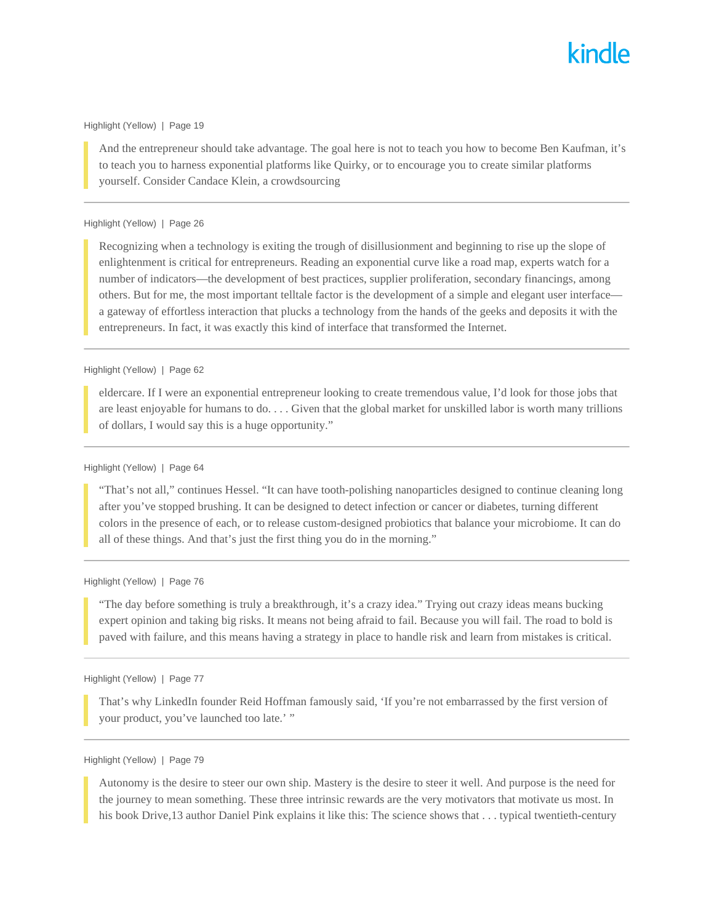# kindle

### Highlight (Yellow) | Page 19

And the entrepreneur should take advantage. The goal here is not to teach you how to become Ben Kaufman, it's to teach you to harness exponential platforms like Quirky, or to encourage you to create similar platforms yourself. Consider Candace Klein, a crowdsourcing

# Highlight (Yellow) | Page 26

Recognizing when a technology is exiting the trough of disillusionment and beginning to rise up the slope of enlightenment is critical for entrepreneurs. Reading an exponential curve like a road map, experts watch for a number of indicators—the development of best practices, supplier proliferation, secondary financings, among others. But for me, the most important telltale factor is the development of a simple and elegant user interface a gateway of effortless interaction that plucks a technology from the hands of the geeks and deposits it with the entrepreneurs. In fact, it was exactly this kind of interface that transformed the Internet.

## Highlight (Yellow) | Page 62

eldercare. If I were an exponential entrepreneur looking to create tremendous value, I'd look for those jobs that are least enjoyable for humans to do. . . . Given that the global market for unskilled labor is worth many trillions of dollars, I would say this is a huge opportunity."

# Highlight (Yellow) | Page 64

"That's not all," continues Hessel. "It can have tooth-polishing nanoparticles designed to continue cleaning long after you've stopped brushing. It can be designed to detect infection or cancer or diabetes, turning different colors in the presence of each, or to release custom-designed probiotics that balance your microbiome. It can do all of these things. And that's just the first thing you do in the morning."

# Highlight (Yellow) | Page 76

"The day before something is truly a breakthrough, it's a crazy idea." Trying out crazy ideas means bucking expert opinion and taking big risks. It means not being afraid to fail. Because you will fail. The road to bold is paved with failure, and this means having a strategy in place to handle risk and learn from mistakes is critical.

#### Highlight (Yellow) | Page 77

That's why LinkedIn founder Reid Hoffman famously said, 'If you're not embarrassed by the first version of your product, you've launched too late.' "

### Highlight (Yellow) | Page 79

Autonomy is the desire to steer our own ship. Mastery is the desire to steer it well. And purpose is the need for the journey to mean something. These three intrinsic rewards are the very motivators that motivate us most. In his book Drive,13 author Daniel Pink explains it like this: The science shows that . . . typical twentieth-century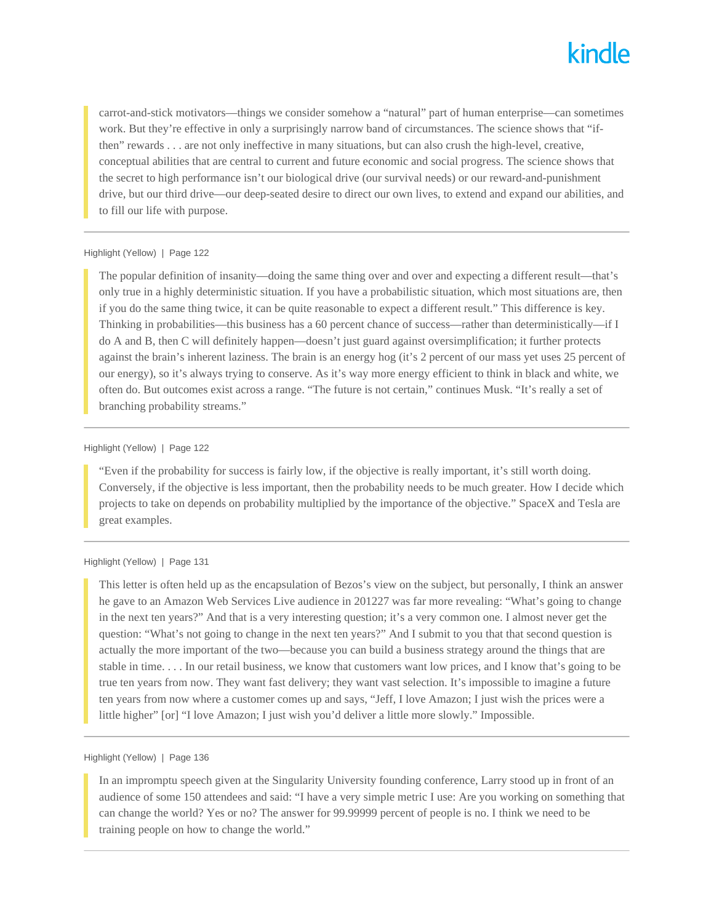# kindle

carrot-and-stick motivators—things we consider somehow a "natural" part of human enterprise—can sometimes work. But they're effective in only a surprisingly narrow band of circumstances. The science shows that "ifthen" rewards . . . are not only ineffective in many situations, but can also crush the high-level, creative, conceptual abilities that are central to current and future economic and social progress. The science shows that the secret to high performance isn't our biological drive (our survival needs) or our reward-and-punishment drive, but our third drive—our deep-seated desire to direct our own lives, to extend and expand our abilities, and to fill our life with purpose.

# Highlight (Yellow) | Page 122

The popular definition of insanity—doing the same thing over and over and expecting a different result—that's only true in a highly deterministic situation. If you have a probabilistic situation, which most situations are, then if you do the same thing twice, it can be quite reasonable to expect a different result." This difference is key. Thinking in probabilities—this business has a 60 percent chance of success—rather than deterministically—if I do A and B, then C will definitely happen—doesn't just guard against oversimplification; it further protects against the brain's inherent laziness. The brain is an energy hog (it's 2 percent of our mass yet uses 25 percent of our energy), so it's always trying to conserve. As it's way more energy efficient to think in black and white, we often do. But outcomes exist across a range. "The future is not certain," continues Musk. "It's really a set of branching probability streams."

# Highlight (Yellow) | Page 122

"Even if the probability for success is fairly low, if the objective is really important, it's still worth doing. Conversely, if the objective is less important, then the probability needs to be much greater. How I decide which projects to take on depends on probability multiplied by the importance of the objective." SpaceX and Tesla are great examples.

### Highlight (Yellow) | Page 131

This letter is often held up as the encapsulation of Bezos's view on the subject, but personally, I think an answer he gave to an Amazon Web Services Live audience in 201227 was far more revealing: "What's going to change in the next ten years?" And that is a very interesting question; it's a very common one. I almost never get the question: "What's not going to change in the next ten years?" And I submit to you that that second question is actually the more important of the two—because you can build a business strategy around the things that are stable in time. . . . In our retail business, we know that customers want low prices, and I know that's going to be true ten years from now. They want fast delivery; they want vast selection. It's impossible to imagine a future ten years from now where a customer comes up and says, "Jeff, I love Amazon; I just wish the prices were a little higher" [or] "I love Amazon; I just wish you'd deliver a little more slowly." Impossible.

# Highlight (Yellow) | Page 136

In an impromptu speech given at the Singularity University founding conference, Larry stood up in front of an audience of some 150 attendees and said: "I have a very simple metric I use: Are you working on something that can change the world? Yes or no? The answer for 99.99999 percent of people is no. I think we need to be training people on how to change the world."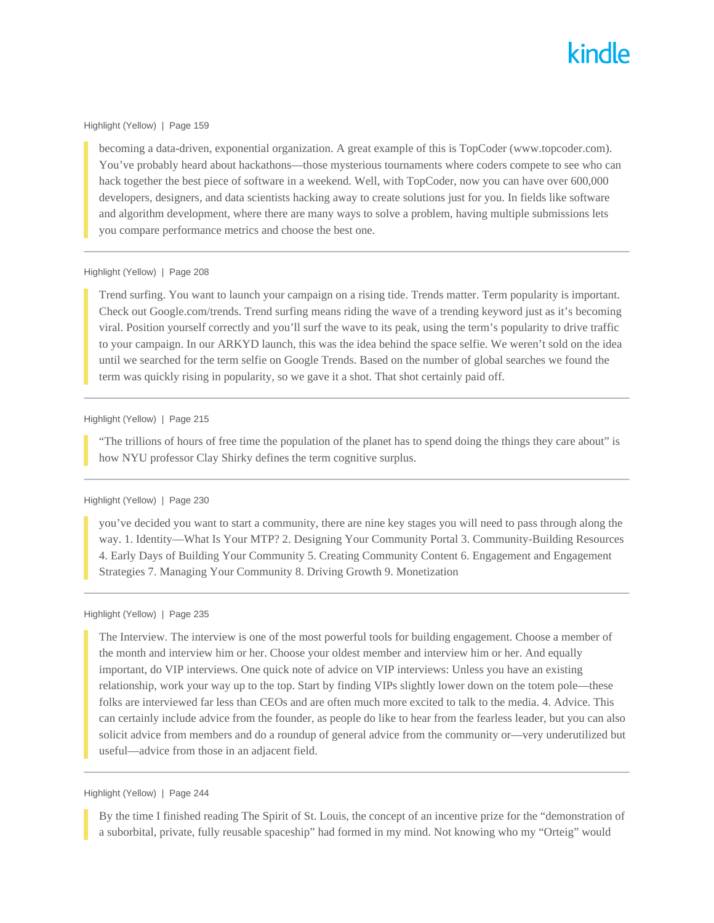# kindle

#### Highlight (Yellow) | Page 159

becoming a data-driven, exponential organization. A great example of this is TopCoder (www.topcoder.com). You've probably heard about hackathons—those mysterious tournaments where coders compete to see who can hack together the best piece of software in a weekend. Well, with TopCoder, now you can have over 600,000 developers, designers, and data scientists hacking away to create solutions just for you. In fields like software and algorithm development, where there are many ways to solve a problem, having multiple submissions lets you compare performance metrics and choose the best one.

# Highlight (Yellow) | Page 208

Trend surfing. You want to launch your campaign on a rising tide. Trends matter. Term popularity is important. Check out Google.com/trends. Trend surfing means riding the wave of a trending keyword just as it's becoming viral. Position yourself correctly and you'll surf the wave to its peak, using the term's popularity to drive traffic to your campaign. In our ARKYD launch, this was the idea behind the space selfie. We weren't sold on the idea until we searched for the term selfie on Google Trends. Based on the number of global searches we found the term was quickly rising in popularity, so we gave it a shot. That shot certainly paid off.

# Highlight (Yellow) | Page 215

"The trillions of hours of free time the population of the planet has to spend doing the things they care about" is how NYU professor Clay Shirky defines the term cognitive surplus.

#### Highlight (Yellow) | Page 230

you've decided you want to start a community, there are nine key stages you will need to pass through along the way. 1. Identity—What Is Your MTP? 2. Designing Your Community Portal 3. Community-Building Resources 4. Early Days of Building Your Community 5. Creating Community Content 6. Engagement and Engagement Strategies 7. Managing Your Community 8. Driving Growth 9. Monetization

#### Highlight (Yellow) | Page 235

The Interview. The interview is one of the most powerful tools for building engagement. Choose a member of the month and interview him or her. Choose your oldest member and interview him or her. And equally important, do VIP interviews. One quick note of advice on VIP interviews: Unless you have an existing relationship, work your way up to the top. Start by finding VIPs slightly lower down on the totem pole—these folks are interviewed far less than CEOs and are often much more excited to talk to the media. 4. Advice. This can certainly include advice from the founder, as people do like to hear from the fearless leader, but you can also solicit advice from members and do a roundup of general advice from the community or—very underutilized but useful—advice from those in an adjacent field.

#### Highlight (Yellow) | Page 244

By the time I finished reading The Spirit of St. Louis, the concept of an incentive prize for the "demonstration of a suborbital, private, fully reusable spaceship" had formed in my mind. Not knowing who my "Orteig" would